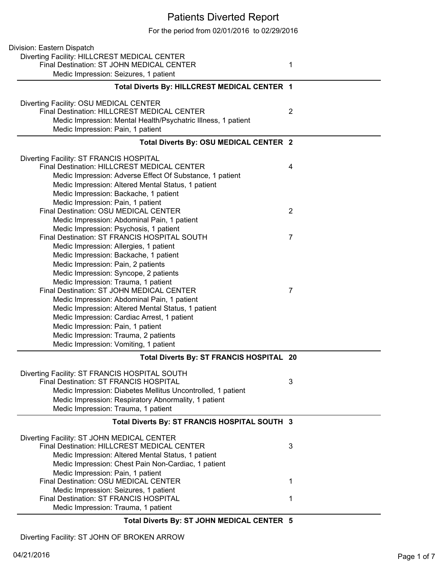## Patients Diverted Report

For the period from 02/01/2016 to 02/29/2016

| Division: Eastern Dispatch                                                                     |                |
|------------------------------------------------------------------------------------------------|----------------|
| Diverting Facility: HILLCREST MEDICAL CENTER                                                   |                |
| Final Destination: ST JOHN MEDICAL CENTER                                                      | 1              |
| Medic Impression: Seizures, 1 patient                                                          |                |
| Total Diverts By: HILLCREST MEDICAL CENTER 1                                                   |                |
|                                                                                                |                |
| Diverting Facility: OSU MEDICAL CENTER                                                         |                |
| Final Destination: HILLCREST MEDICAL CENTER                                                    | $\overline{2}$ |
| Medic Impression: Mental Health/Psychatric Illness, 1 patient                                  |                |
| Medic Impression: Pain, 1 patient                                                              |                |
| Total Diverts By: OSU MEDICAL CENTER 2                                                         |                |
| Diverting Facility: ST FRANCIS HOSPITAL                                                        |                |
| <b>Final Destination: HILLCREST MEDICAL CENTER</b>                                             | 4              |
| Medic Impression: Adverse Effect Of Substance, 1 patient                                       |                |
| Medic Impression: Altered Mental Status, 1 patient                                             |                |
| Medic Impression: Backache, 1 patient                                                          |                |
| Medic Impression: Pain, 1 patient                                                              |                |
| Final Destination: OSU MEDICAL CENTER                                                          | $\overline{2}$ |
| Medic Impression: Abdominal Pain, 1 patient                                                    |                |
| Medic Impression: Psychosis, 1 patient                                                         |                |
| Final Destination: ST FRANCIS HOSPITAL SOUTH                                                   | $\overline{7}$ |
| Medic Impression: Allergies, 1 patient                                                         |                |
| Medic Impression: Backache, 1 patient                                                          |                |
| Medic Impression: Pain, 2 patients                                                             |                |
| Medic Impression: Syncope, 2 patients                                                          |                |
| Medic Impression: Trauma, 1 patient                                                            |                |
| Final Destination: ST JOHN MEDICAL CENTER                                                      | 7              |
| Medic Impression: Abdominal Pain, 1 patient                                                    |                |
| Medic Impression: Altered Mental Status, 1 patient                                             |                |
| Medic Impression: Cardiac Arrest, 1 patient                                                    |                |
| Medic Impression: Pain, 1 patient                                                              |                |
| Medic Impression: Trauma, 2 patients                                                           |                |
| Medic Impression: Vomiting, 1 patient                                                          |                |
| Total Diverts By: ST FRANCIS HOSPITAL 20                                                       |                |
|                                                                                                |                |
| Diverting Facility: ST FRANCIS HOSPITAL SOUTH<br><b>Final Destination: ST FRANCIS HOSPITAL</b> | 3              |
|                                                                                                |                |
| Medic Impression: Diabetes Mellitus Uncontrolled, 1 patient                                    |                |
| Medic Impression: Respiratory Abnormality, 1 patient                                           |                |
| Medic Impression: Trauma, 1 patient                                                            |                |
| Total Diverts By: ST FRANCIS HOSPITAL SOUTH 3                                                  |                |
| Diverting Facility: ST JOHN MEDICAL CENTER                                                     |                |
| Final Destination: HILLCREST MEDICAL CENTER                                                    | 3              |
| Medic Impression: Altered Mental Status, 1 patient                                             |                |
| Medic Impression: Chest Pain Non-Cardiac, 1 patient                                            |                |
| Medic Impression: Pain, 1 patient                                                              |                |
| Final Destination: OSU MEDICAL CENTER                                                          | 1              |
| Medic Impression: Seizures, 1 patient                                                          |                |
| Final Destination: ST FRANCIS HOSPITAL                                                         | 1              |
| Medic Impression: Trauma, 1 patient                                                            |                |
| Total Diverts By: ST JOHN MEDICAL CENTER 5                                                     |                |

Diverting Facility: ST JOHN OF BROKEN ARROW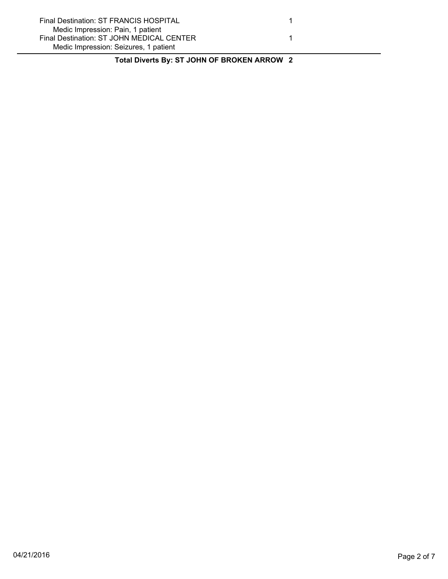| Final Destination: ST FRANCIS HOSPITAL    |  |
|-------------------------------------------|--|
| Medic Impression: Pain, 1 patient         |  |
| Final Destination: ST JOHN MEDICAL CENTER |  |
| Medic Impression: Seizures, 1 patient     |  |

**Total Diverts By: ST JOHN OF BROKEN ARROW 2**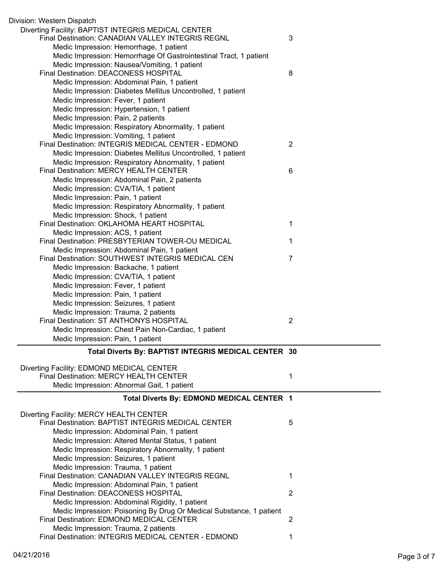| Division: Western Dispatch                                                                        |                |
|---------------------------------------------------------------------------------------------------|----------------|
| Diverting Facility: BAPTIST INTEGRIS MEDICAL CENTER                                               |                |
| Final Destination: CANADIAN VALLEY INTEGRIS REGNL                                                 | 3              |
| Medic Impression: Hemorrhage, 1 patient                                                           |                |
| Medic Impression: Hemorrhage Of Gastrointestinal Tract, 1 patient                                 |                |
| Medic Impression: Nausea/Vomiting, 1 patient                                                      |                |
| Final Destination: DEACONESS HOSPITAL                                                             | 8              |
| Medic Impression: Abdominal Pain, 1 patient                                                       |                |
| Medic Impression: Diabetes Mellitus Uncontrolled, 1 patient                                       |                |
| Medic Impression: Fever, 1 patient                                                                |                |
| Medic Impression: Hypertension, 1 patient                                                         |                |
| Medic Impression: Pain, 2 patients                                                                |                |
| Medic Impression: Respiratory Abnormality, 1 patient                                              |                |
| Medic Impression: Vomiting, 1 patient                                                             |                |
| Final Destination: INTEGRIS MEDICAL CENTER - EDMOND                                               | $\overline{2}$ |
| Medic Impression: Diabetes Mellitus Uncontrolled, 1 patient                                       |                |
| Medic Impression: Respiratory Abnormality, 1 patient                                              |                |
| Final Destination: MERCY HEALTH CENTER                                                            | 6              |
| Medic Impression: Abdominal Pain, 2 patients                                                      |                |
| Medic Impression: CVA/TIA, 1 patient                                                              |                |
| Medic Impression: Pain, 1 patient                                                                 |                |
| Medic Impression: Respiratory Abnormality, 1 patient<br>Medic Impression: Shock, 1 patient        |                |
| Final Destination: OKLAHOMA HEART HOSPITAL                                                        | 1              |
| Medic Impression: ACS, 1 patient                                                                  |                |
| Final Destination: PRESBYTERIAN TOWER-OU MEDICAL                                                  | 1              |
| Medic Impression: Abdominal Pain, 1 patient                                                       |                |
| Final Destination: SOUTHWEST INTEGRIS MEDICAL CEN                                                 | 7              |
| Medic Impression: Backache, 1 patient                                                             |                |
| Medic Impression: CVA/TIA, 1 patient                                                              |                |
| Medic Impression: Fever, 1 patient                                                                |                |
| Medic Impression: Pain, 1 patient                                                                 |                |
| Medic Impression: Seizures, 1 patient                                                             |                |
| Medic Impression: Trauma, 2 patients                                                              |                |
| Final Destination: ST ANTHONYS HOSPITAL                                                           | $\overline{2}$ |
| Medic Impression: Chest Pain Non-Cardiac, 1 patient                                               |                |
| Medic Impression: Pain, 1 patient                                                                 |                |
| Total Diverts By: BAPTIST INTEGRIS MEDICAL CENTER 30                                              |                |
|                                                                                                   |                |
| Diverting Facility: EDMOND MEDICAL CENTER                                                         |                |
| Final Destination: MERCY HEALTH CENTER                                                            | 1              |
| Medic Impression: Abnormal Gait, 1 patient                                                        |                |
| Total Diverts By: EDMOND MEDICAL CENTER 1                                                         |                |
|                                                                                                   |                |
| Diverting Facility: MERCY HEALTH CENTER<br>Final Destination: BAPTIST INTEGRIS MEDICAL CENTER     |                |
|                                                                                                   | 5              |
| Medic Impression: Abdominal Pain, 1 patient<br>Medic Impression: Altered Mental Status, 1 patient |                |
| Medic Impression: Respiratory Abnormality, 1 patient                                              |                |
| Medic Impression: Seizures, 1 patient                                                             |                |
| Medic Impression: Trauma, 1 patient                                                               |                |
| Final Destination: CANADIAN VALLEY INTEGRIS REGNL                                                 | 1              |
| Medic Impression: Abdominal Pain, 1 patient                                                       |                |
| Final Destination: DEACONESS HOSPITAL                                                             | $\overline{2}$ |
| Medic Impression: Abdominal Rigidity, 1 patient                                                   |                |
| Medic Impression: Poisoning By Drug Or Medical Substance, 1 patient                               |                |
| Final Destination: EDMOND MEDICAL CENTER                                                          | $\overline{2}$ |
|                                                                                                   |                |
| Medic Impression: Trauma, 2 patients<br>Final Destination: INTEGRIS MEDICAL CENTER - EDMOND       |                |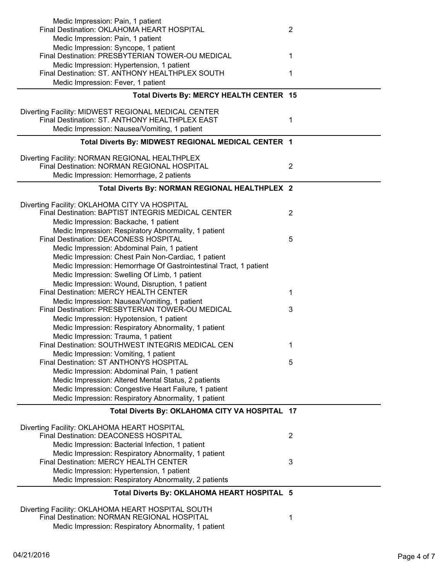| Medic Impression: Pain, 1 patient                                                                   |                |
|-----------------------------------------------------------------------------------------------------|----------------|
| Final Destination: OKLAHOMA HEART HOSPITAL                                                          | $\overline{2}$ |
| Medic Impression: Pain, 1 patient                                                                   |                |
| Medic Impression: Syncope, 1 patient<br>Final Destination: PRESBYTERIAN TOWER-OU MEDICAL            | 1              |
| Medic Impression: Hypertension, 1 patient                                                           |                |
| Final Destination: ST. ANTHONY HEALTHPLEX SOUTH                                                     | 1              |
| Medic Impression: Fever, 1 patient                                                                  |                |
| Total Diverts By: MERCY HEALTH CENTER 15                                                            |                |
|                                                                                                     |                |
| Diverting Facility: MIDWEST REGIONAL MEDICAL CENTER                                                 |                |
| Final Destination: ST. ANTHONY HEALTHPLEX EAST                                                      | 1              |
| Medic Impression: Nausea/Vomiting, 1 patient                                                        |                |
| Total Diverts By: MIDWEST REGIONAL MEDICAL CENTER 1                                                 |                |
| Diverting Facility: NORMAN REGIONAL HEALTHPLEX                                                      |                |
| Final Destination: NORMAN REGIONAL HOSPITAL                                                         | $\overline{2}$ |
| Medic Impression: Hemorrhage, 2 patients                                                            |                |
| Total Diverts By: NORMAN REGIONAL HEALTHPLEX 2                                                      |                |
|                                                                                                     |                |
| Diverting Facility: OKLAHOMA CITY VA HOSPITAL<br>Final Destination: BAPTIST INTEGRIS MEDICAL CENTER | $\overline{2}$ |
| Medic Impression: Backache, 1 patient                                                               |                |
| Medic Impression: Respiratory Abnormality, 1 patient                                                |                |
| Final Destination: DEACONESS HOSPITAL                                                               | 5              |
| Medic Impression: Abdominal Pain, 1 patient                                                         |                |
| Medic Impression: Chest Pain Non-Cardiac, 1 patient                                                 |                |
| Medic Impression: Hemorrhage Of Gastrointestinal Tract, 1 patient                                   |                |
| Medic Impression: Swelling Of Limb, 1 patient                                                       |                |
| Medic Impression: Wound, Disruption, 1 patient<br>Final Destination: MERCY HEALTH CENTER            | 1              |
| Medic Impression: Nausea/Vomiting, 1 patient                                                        |                |
| Final Destination: PRESBYTERIAN TOWER-OU MEDICAL                                                    | 3              |
| Medic Impression: Hypotension, 1 patient                                                            |                |
| Medic Impression: Respiratory Abnormality, 1 patient                                                |                |
| Medic Impression: Trauma, 1 patient                                                                 |                |
| Final Destination: SOUTHWEST INTEGRIS MEDICAL CEN                                                   | 1.             |
| Medic Impression: Vomiting, 1 patient<br>Final Destination: ST ANTHONYS HOSPITAL                    | 5              |
| Medic Impression: Abdominal Pain, 1 patient                                                         |                |
| Medic Impression: Altered Mental Status, 2 patients                                                 |                |
| Medic Impression: Congestive Heart Failure, 1 patient                                               |                |
| Medic Impression: Respiratory Abnormality, 1 patient                                                |                |
| Total Diverts By: OKLAHOMA CITY VA HOSPITAL 17                                                      |                |
|                                                                                                     |                |
| Diverting Facility: OKLAHOMA HEART HOSPITAL<br>Final Destination: DEACONESS HOSPITAL                |                |
| Medic Impression: Bacterial Infection, 1 patient                                                    | 2              |
| Medic Impression: Respiratory Abnormality, 1 patient                                                |                |
| Final Destination: MERCY HEALTH CENTER                                                              | 3              |
| Medic Impression: Hypertension, 1 patient                                                           |                |
| Medic Impression: Respiratory Abnormality, 2 patients                                               |                |
| Total Diverts By: OKLAHOMA HEART HOSPITAL 5                                                         |                |
| Diverting Facility: OKLAHOMA HEART HOSPITAL SOUTH                                                   |                |
| Final Destination: NORMAN REGIONAL HOSPITAL                                                         | 1              |
| Medic Impression: Respiratory Abnormality, 1 patient                                                |                |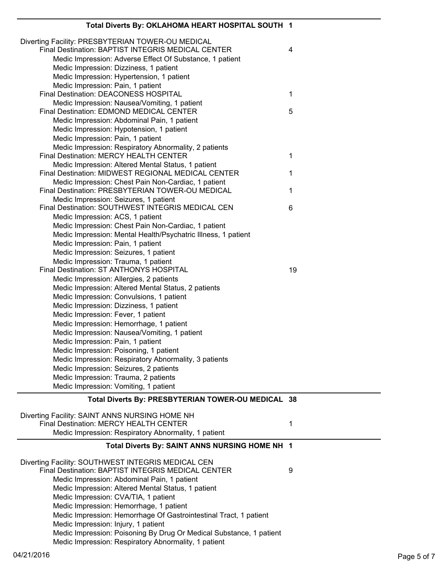| Total Diverts By: OKLAHOMA HEART HOSPITAL SOUTH 1                                                                           |    |
|-----------------------------------------------------------------------------------------------------------------------------|----|
| Diverting Facility: PRESBYTERIAN TOWER-OU MEDICAL<br>Final Destination: BAPTIST INTEGRIS MEDICAL CENTER                     | 4  |
| Medic Impression: Adverse Effect Of Substance, 1 patient                                                                    |    |
| Medic Impression: Dizziness, 1 patient                                                                                      |    |
| Medic Impression: Hypertension, 1 patient                                                                                   |    |
| Medic Impression: Pain, 1 patient<br>Final Destination: DEACONESS HOSPITAL                                                  | 1  |
| Medic Impression: Nausea/Vomiting, 1 patient                                                                                |    |
| Final Destination: EDMOND MEDICAL CENTER                                                                                    | 5  |
| Medic Impression: Abdominal Pain, 1 patient                                                                                 |    |
| Medic Impression: Hypotension, 1 patient                                                                                    |    |
| Medic Impression: Pain, 1 patient                                                                                           |    |
| Medic Impression: Respiratory Abnormality, 2 patients                                                                       |    |
| Final Destination: MERCY HEALTH CENTER                                                                                      | 1  |
| Medic Impression: Altered Mental Status, 1 patient                                                                          |    |
| Final Destination: MIDWEST REGIONAL MEDICAL CENTER                                                                          | 1  |
| Medic Impression: Chest Pain Non-Cardiac, 1 patient                                                                         |    |
| Final Destination: PRESBYTERIAN TOWER-OU MEDICAL                                                                            | 1  |
| Medic Impression: Seizures, 1 patient                                                                                       |    |
| Final Destination: SOUTHWEST INTEGRIS MEDICAL CEN                                                                           | 6  |
| Medic Impression: ACS, 1 patient                                                                                            |    |
| Medic Impression: Chest Pain Non-Cardiac, 1 patient                                                                         |    |
| Medic Impression: Mental Health/Psychatric Illness, 1 patient                                                               |    |
| Medic Impression: Pain, 1 patient                                                                                           |    |
| Medic Impression: Seizures, 1 patient                                                                                       |    |
| Medic Impression: Trauma, 1 patient                                                                                         |    |
| Final Destination: ST ANTHONYS HOSPITAL                                                                                     | 19 |
| Medic Impression: Allergies, 2 patients<br>Medic Impression: Altered Mental Status, 2 patients                              |    |
| Medic Impression: Convulsions, 1 patient                                                                                    |    |
| Medic Impression: Dizziness, 1 patient                                                                                      |    |
| Medic Impression: Fever, 1 patient                                                                                          |    |
| Medic Impression: Hemorrhage, 1 patient                                                                                     |    |
| Medic Impression: Nausea/Vomiting, 1 patient                                                                                |    |
| Medic Impression: Pain, 1 patient                                                                                           |    |
| Medic Impression: Poisoning, 1 patient                                                                                      |    |
| Medic Impression: Respiratory Abnormality, 3 patients                                                                       |    |
| Medic Impression: Seizures, 2 patients                                                                                      |    |
| Medic Impression: Trauma, 2 patients                                                                                        |    |
| Medic Impression: Vomiting, 1 patient                                                                                       |    |
| Total Diverts By: PRESBYTERIAN TOWER-OU MEDICAL 38                                                                          |    |
|                                                                                                                             |    |
| Diverting Facility: SAINT ANNS NURSING HOME NH                                                                              |    |
| Final Destination: MERCY HEALTH CENTER                                                                                      | 1  |
| Medic Impression: Respiratory Abnormality, 1 patient                                                                        |    |
| Total Diverts By: SAINT ANNS NURSING HOME NH 1                                                                              |    |
|                                                                                                                             |    |
| Diverting Facility: SOUTHWEST INTEGRIS MEDICAL CEN                                                                          |    |
| Final Destination: BAPTIST INTEGRIS MEDICAL CENTER                                                                          |    |
|                                                                                                                             | 9  |
| Medic Impression: Abdominal Pain, 1 patient                                                                                 |    |
| Medic Impression: Altered Mental Status, 1 patient                                                                          |    |
| Medic Impression: CVA/TIA, 1 patient                                                                                        |    |
| Medic Impression: Hemorrhage, 1 patient                                                                                     |    |
| Medic Impression: Hemorrhage Of Gastrointestinal Tract, 1 patient                                                           |    |
| Medic Impression: Injury, 1 patient                                                                                         |    |
| Medic Impression: Poisoning By Drug Or Medical Substance, 1 patient<br>Medic Impression: Respiratory Abnormality, 1 patient |    |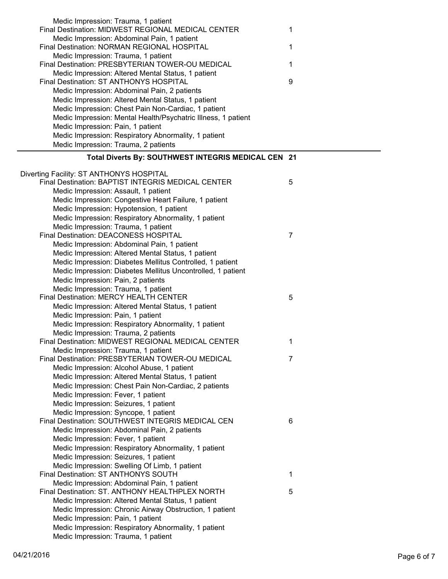| Medic Impression: Trauma, 1 patient                                                            |   |
|------------------------------------------------------------------------------------------------|---|
| Final Destination: MIDWEST REGIONAL MEDICAL CENTER                                             | 1 |
| Medic Impression: Abdominal Pain, 1 patient                                                    |   |
| Final Destination: NORMAN REGIONAL HOSPITAL                                                    | 1 |
| Medic Impression: Trauma, 1 patient                                                            |   |
| Final Destination: PRESBYTERIAN TOWER-OU MEDICAL                                               | 1 |
| Medic Impression: Altered Mental Status, 1 patient                                             |   |
| Final Destination: ST ANTHONYS HOSPITAL                                                        | 9 |
| Medic Impression: Abdominal Pain, 2 patients                                                   |   |
| Medic Impression: Altered Mental Status, 1 patient                                             |   |
| Medic Impression: Chest Pain Non-Cardiac, 1 patient                                            |   |
| Medic Impression: Mental Health/Psychatric Illness, 1 patient                                  |   |
| Medic Impression: Pain, 1 patient                                                              |   |
| Medic Impression: Respiratory Abnormality, 1 patient                                           |   |
| Medic Impression: Trauma, 2 patients                                                           |   |
| Total Diverts By: SOUTHWEST INTEGRIS MEDICAL CEN 21                                            |   |
|                                                                                                |   |
| Diverting Facility: ST ANTHONYS HOSPITAL                                                       |   |
| Final Destination: BAPTIST INTEGRIS MEDICAL CENTER                                             | 5 |
| Medic Impression: Assault, 1 patient                                                           |   |
| Medic Impression: Congestive Heart Failure, 1 patient                                          |   |
| Medic Impression: Hypotension, 1 patient                                                       |   |
| Medic Impression: Respiratory Abnormality, 1 patient                                           |   |
| Medic Impression: Trauma, 1 patient                                                            |   |
| Final Destination: DEACONESS HOSPITAL                                                          | 7 |
| Medic Impression: Abdominal Pain, 1 patient                                                    |   |
| Medic Impression: Altered Mental Status, 1 patient                                             |   |
| Medic Impression: Diabetes Mellitus Controlled, 1 patient                                      |   |
| Medic Impression: Diabetes Mellitus Uncontrolled, 1 patient                                    |   |
| Medic Impression: Pain, 2 patients                                                             |   |
| Medic Impression: Trauma, 1 patient                                                            |   |
| Final Destination: MERCY HEALTH CENTER                                                         | 5 |
| Medic Impression: Altered Mental Status, 1 patient                                             |   |
| Medic Impression: Pain, 1 patient                                                              |   |
| Medic Impression: Respiratory Abnormality, 1 patient                                           |   |
| Medic Impression: Trauma, 2 patients                                                           |   |
| Final Destination: MIDWEST REGIONAL MEDICAL CENTER                                             | 1 |
| Medic Impression: Trauma, 1 patient                                                            |   |
| Final Destination: PRESBYTERIAN TOWER-OU MEDICAL                                               | 7 |
| Medic Impression: Alcohol Abuse, 1 patient                                                     |   |
| Medic Impression: Altered Mental Status, 1 patient                                             |   |
| Medic Impression: Chest Pain Non-Cardiac, 2 patients                                           |   |
| Medic Impression: Fever, 1 patient                                                             |   |
| Medic Impression: Seizures, 1 patient                                                          |   |
| Medic Impression: Syncope, 1 patient                                                           |   |
| Final Destination: SOUTHWEST INTEGRIS MEDICAL CEN                                              | 6 |
| Medic Impression: Abdominal Pain, 2 patients                                                   |   |
| Medic Impression: Fever, 1 patient                                                             |   |
| Medic Impression: Respiratory Abnormality, 1 patient                                           |   |
| Medic Impression: Seizures, 1 patient                                                          |   |
| Medic Impression: Swelling Of Limb, 1 patient<br>Final Destination: ST ANTHONYS SOUTH          | 1 |
|                                                                                                |   |
| Medic Impression: Abdominal Pain, 1 patient<br>Final Destination: ST. ANTHONY HEALTHPLEX NORTH | 5 |
| Medic Impression: Altered Mental Status, 1 patient                                             |   |
|                                                                                                |   |
| Medic Impression: Chronic Airway Obstruction, 1 patient<br>Medic Impression: Pain, 1 patient   |   |
| Medic Impression: Respiratory Abnormality, 1 patient                                           |   |
| Medic Impression: Trauma, 1 patient                                                            |   |
|                                                                                                |   |